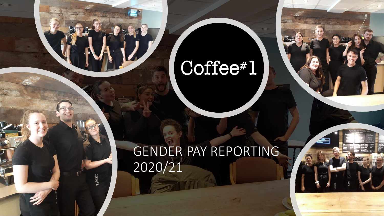# Coffee#1

## GENDER PAY REPORTING 2020/21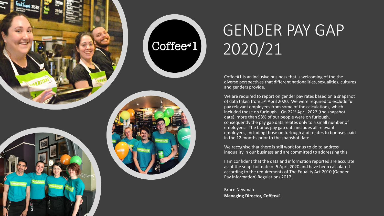

## GENDER PAY GAP 2020/21

Coffee#1 is an inclusive business that is welcoming of the the diverse perspectives that different nationalities, sexualities, cultures and genders provide.

We are required to report on gender pay rates based on a snapshot of data taken from 5<sup>th</sup> April 2020. We were required to exclude full pay relevant employees from some of the calculations, which included those on furlough. On 22nd April 2022 (the snapshot date), more than 98% of our people were on furlough, consequently the pay gap data relates only to a small number of employees. The bonus pay gap data includes all relevant employees, including those on furlough and relates to bonuses paid in the 12 months prior to the snapshot date.

We recognise that there is still work for us to do to address inequality in our business and are committed to addressing this.

I am confident that the data and information reported are accurate as of the snapshot date of 5 April 2020 and have been calculated according to the requirements of The Equality Act 2010 (Gender Pay Information) Regulations 2017.

Bruce Newman **Managing Director, Coffee#1**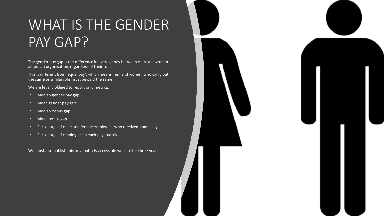## WHAT IS THE GENDER PAY GAP?

The gender pay gap is the difference in average pay between men and woman across an organisation, regardless of their role.

This is different from 'equal pay', which means men and women who carry out the same or similar jobs must be paid the same.

We are legally obliged to report on 6 metrics:

- Median gender pay gap.
- Mean gender pay gap.
- Median bonus gap.
- Mean bonus gap.
- Percentage of male and female employees who received bonus pay.
- Percentage of employees in each pay quartile.

We must also publish this on a publicly accessible website for three years.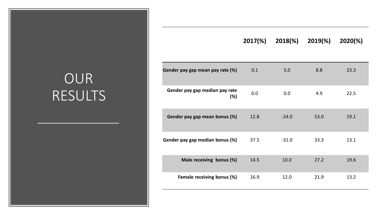## OUR RESULTS

| Gender pay gap mean pay rate (%)      | 0.1  | 5.0     | 8.8  | 23.3 |
|---------------------------------------|------|---------|------|------|
| Gender pay gap median pay rate<br>(%) | 0.0  | 0.0     | 4.9  | 22.5 |
| Gender pay gap mean bonus (%)         | 12.8 | $-24.0$ | 53.0 | 19.1 |
| Gender pay gap median bonus (%)       | 37.5 | $-31.0$ | 33.3 | 13.1 |
| Male receiving bonus (%)              | 14.5 | 10.0    | 27.2 | 19.6 |
| Female receiving bonus (%)            | 16.9 | 12.0    | 21.9 | 13.2 |

**2017(%) 2018(%) 2019(%) 2020(%)**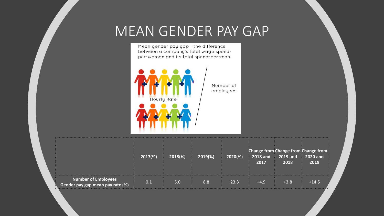#### MEAN GENDER PAY GAP

Mean gender pay gap - the difference between a company's total wage spendper-woman and its total spend-per-man.



|                                                      | $2017(\%)$ | 2018(%) | $2019(\%)$   | $ 2020(\%)$ | <b>2018 and</b><br>2017 | 2019 and<br>2018 | <b>Change from Change from Change from</b><br><b>2020 and</b><br>2019. |
|------------------------------------------------------|------------|---------|--------------|-------------|-------------------------|------------------|------------------------------------------------------------------------|
| Number of Employees<br>Jer pay gap mean pay rate (%) |            |         | <b>STATE</b> | 23.3        | <b>START</b>            |                  | $+14.5$                                                                |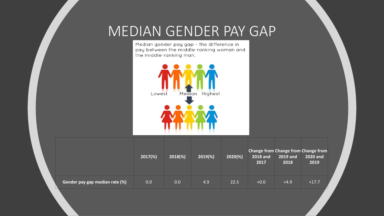#### MEDIAN GENDER PAY GAP

Median gender pay gap - the difference in pay between the middle-ranking woman and the middle-ranking man.

> Median Highest Lowest

|                                | 2017(%)              | 2018(%)                                              | $ 2019(\%) $   | $2020(\%)$                                  | 2017 | $2019$ and<br>2018 | <b>Change from Change from Change from</b><br><b>2020 and</b><br>2019<br><b>SALE</b> |
|--------------------------------|----------------------|------------------------------------------------------|----------------|---------------------------------------------|------|--------------------|--------------------------------------------------------------------------------------|
| Gender pay gap median rate (%) | 0.0<br><b>Carlos</b> | 0.0<br><b>College</b><br><b><i><u>Part 1</u></i></b> | <b>Service</b> | . .<br>22.5<br><b>STATE</b><br><b>STATE</b> |      |                    | $+17.7$                                                                              |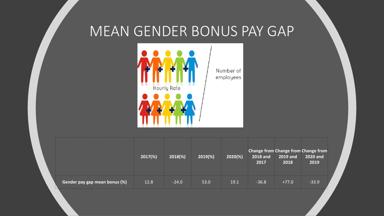#### MEAN GENDER BONUS PAY GAP



|                               | $2017(\%)$ | 2018(%) | $2019(\%)$ | $2020(\%)$ | <b>2018 and</b><br>2017 | <b>2019 and</b><br>2018 | <b>Change from Change from Change from</b><br>2020 and<br>2019 |
|-------------------------------|------------|---------|------------|------------|-------------------------|-------------------------|----------------------------------------------------------------|
| Gender pay gap mean bonus (%) | 12.8       | $-24.0$ | 53.0       | 19.1       |                         | $+77.0$                 |                                                                |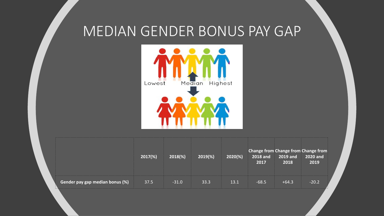#### MEDIAN GENDER BONUS PAY GAP

![](_page_7_Picture_1.jpeg)

|                                 | $2017(\%)$ | 2018(%) | 2019(%) | 2020(%) | <b>2018 and</b><br>2017 | <b>2019 and</b><br>2018 | <b>Change from Change from Change from</b><br>2020 and<br>2019 |
|---------------------------------|------------|---------|---------|---------|-------------------------|-------------------------|----------------------------------------------------------------|
| Gender pay gap median bonus (%) | 37.5       | $-31.0$ | 33.3    | 13.1    |                         | +64.3                   | $-20.27$                                                       |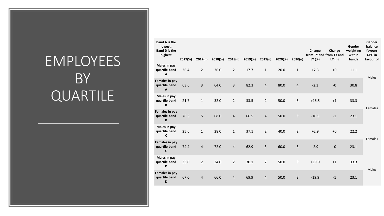## EMPLOYEES **BY** QUARTILE

| <b>Band A is the</b><br>lowest.<br><b>Band D is the</b><br>highest | 2017(%) | 2017(n)        | 2018(%) | 2018(n)                 | 2019(%) | 2019(n)        | 2020(%) | 2020(n)        | Change<br>LY (%) | Change<br>from TY and from TY and<br>LY(n) | Gender<br>weighting<br>within<br>bands | Gender<br>balance<br>favours<br>GPG in<br>favour of |
|--------------------------------------------------------------------|---------|----------------|---------|-------------------------|---------|----------------|---------|----------------|------------------|--------------------------------------------|----------------------------------------|-----------------------------------------------------|
| Males in pay<br>quartile band<br>A                                 | 36.4    | $\overline{2}$ | 36.0    | $\overline{2}$          | 17.7    | $\mathbf{1}$   | 20.0    | $\mathbf{1}$   | $+2.3$           | $+0$                                       | 11.1                                   |                                                     |
| Females in pay<br>quartile band<br>A                               | 63.6    | 3              | 64.0    | 3                       | 82.3    | $\overline{4}$ | 80.0    | $\overline{4}$ | $-2.3$           | $-0$                                       | 30.8                                   | <b>Males</b>                                        |
| Males in pay<br>quartile band<br>B                                 | 21.7    | $\mathbf{1}$   | 32.0    | $\overline{2}$          | 33.5    | $\overline{2}$ | 50.0    | 3              | $+16.5$          | $+1$                                       | 33.3                                   |                                                     |
| Females in pay<br>quartile band<br>B                               | 78.3    | 5              | 68.0    | $\overline{\mathbf{4}}$ | 66.5    | $\overline{4}$ | 50.0    | 3              | $-16.5$          | $-1$                                       | 23.1                                   | Females                                             |
| Males in pay<br>quartile band<br>C                                 | 25.6    | $\mathbf{1}$   | 28.0    | $1\,$                   | 37.1    | $\overline{2}$ | 40.0    | $\overline{2}$ | $+2.9$           | $+0$                                       | 22.2                                   | Females                                             |
| Females in pay<br>quartile band<br>$\mathsf{C}$                    | 74.4    | $\overline{4}$ | 72.0    | $\overline{4}$          | 62.9    | $\overline{3}$ | 60.0    | 3              | $-2.9$           | $-0$                                       | 23.1                                   |                                                     |
| Males in pay<br>quartile band<br>D                                 | 33.0    | $\overline{2}$ | 34.0    | $\overline{2}$          | 30.1    | $\overline{2}$ | 50.0    | 3              | $+19.9$          | $+1$                                       | 33.3                                   | Males                                               |
| Females in pay<br>quartile band<br>D                               | 67.0    | $\overline{4}$ | 66.0    | $\overline{\mathbf{r}}$ | 69.9    | $\overline{4}$ | 50.0    | 3              | $-19.9$          | $-1$                                       | 23.1                                   |                                                     |